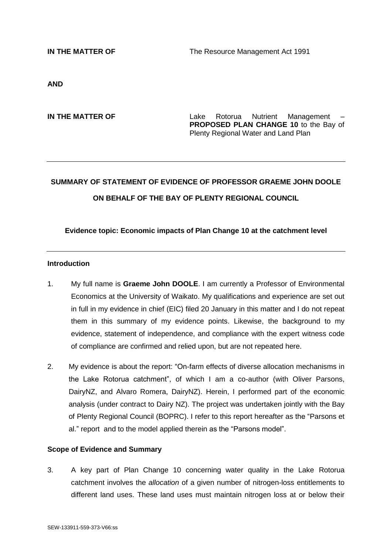**IN THE MATTER OF** The Resource Management Act 1991

**AND**

**IN THE MATTER OF THE SAMPLE 2008 CONTROLLER AND THE MATTER OF THE LAKE EXAMPLE ROTAGEMENT CONTROLLER PROPOSED PLAN CHANGE 10** to the Bay of Plenty Regional Water and Land Plan

# **SUMMARY OF STATEMENT OF EVIDENCE OF PROFESSOR GRAEME JOHN DOOLE ON BEHALF OF THE BAY OF PLENTY REGIONAL COUNCIL**

#### **Evidence topic: Economic impacts of Plan Change 10 at the catchment level**

#### **Introduction**

- 1. My full name is **Graeme John DOOLE**. I am currently a Professor of Environmental Economics at the University of Waikato. My qualifications and experience are set out in full in my evidence in chief (EIC) filed 20 January in this matter and I do not repeat them in this summary of my evidence points. Likewise, the background to my evidence, statement of independence, and compliance with the expert witness code of compliance are confirmed and relied upon, but are not repeated here.
- 2. My evidence is about the report: "On-farm effects of diverse allocation mechanisms in the Lake Rotorua catchment", of which I am a co-author (with Oliver Parsons, DairyNZ, and Alvaro Romera, DairyNZ). Herein, I performed part of the economic analysis (under contract to Dairy NZ). The project was undertaken jointly with the Bay of Plenty Regional Council (BOPRC). I refer to this report hereafter as the "Parsons et al." report and to the model applied therein as the "Parsons model".

#### **Scope of Evidence and Summary**

3. A key part of Plan Change 10 concerning water quality in the Lake Rotorua catchment involves the *allocation* of a given number of nitrogen-loss entitlements to different land uses. These land uses must maintain nitrogen loss at or below their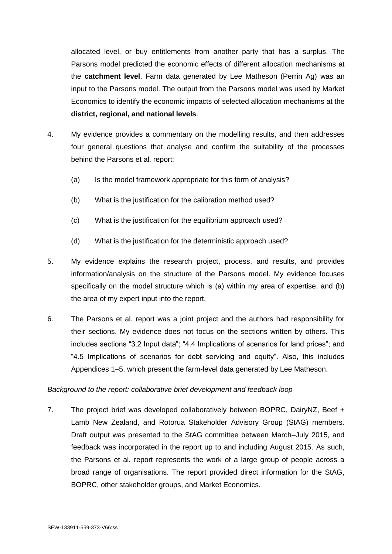allocated level, or buy entitlements from another party that has a surplus. The Parsons model predicted the economic effects of different allocation mechanisms at the **catchment level**. Farm data generated by Lee Matheson (Perrin Ag) was an input to the Parsons model. The output from the Parsons model was used by Market Economics to identify the economic impacts of selected allocation mechanisms at the **district, regional, and national levels**.

- 4. My evidence provides a commentary on the modelling results, and then addresses four general questions that analyse and confirm the suitability of the processes behind the Parsons et al. report:
	- (a) Is the model framework appropriate for this form of analysis?
	- (b) What is the justification for the calibration method used?
	- (c) What is the justification for the equilibrium approach used?
	- (d) What is the justification for the deterministic approach used?
- 5. My evidence explains the research project, process, and results, and provides information/analysis on the structure of the Parsons model. My evidence focuses specifically on the model structure which is (a) within my area of expertise, and (b) the area of my expert input into the report.
- 6. The Parsons et al. report was a joint project and the authors had responsibility for their sections. My evidence does not focus on the sections written by others. This includes sections "3.2 Input data"; "4.4 Implications of scenarios for land prices"; and "4.5 Implications of scenarios for debt servicing and equity". Also, this includes Appendices 1–5, which present the farm-level data generated by Lee Matheson.

# *Background to the report: collaborative brief development and feedback loop*

7. The project brief was developed collaboratively between BOPRC, DairyNZ, Beef + Lamb New Zealand, and Rotorua Stakeholder Advisory Group (StAG) members. Draft output was presented to the StAG committee between March–July 2015, and feedback was incorporated in the report up to and including August 2015. As such, the Parsons et al. report represents the work of a large group of people across a broad range of organisations. The report provided direct information for the StAG, BOPRC, other stakeholder groups, and Market Economics.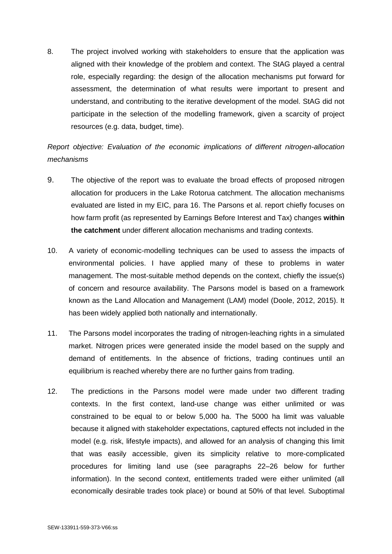8. The project involved working with stakeholders to ensure that the application was aligned with their knowledge of the problem and context. The StAG played a central role, especially regarding: the design of the allocation mechanisms put forward for assessment, the determination of what results were important to present and understand, and contributing to the iterative development of the model. StAG did not participate in the selection of the modelling framework, given a scarcity of project resources (e.g. data, budget, time).

# *Report objective: Evaluation of the economic implications of different nitrogen-allocation mechanisms*

- 9. The objective of the report was to evaluate the broad effects of proposed nitrogen allocation for producers in the Lake Rotorua catchment. The allocation mechanisms evaluated are listed in my EIC, para 16. The Parsons et al. report chiefly focuses on how farm profit (as represented by Earnings Before Interest and Tax) changes **within the catchment** under different allocation mechanisms and trading contexts.
- 10. A variety of economic-modelling techniques can be used to assess the impacts of environmental policies. I have applied many of these to problems in water management. The most-suitable method depends on the context, chiefly the issue(s) of concern and resource availability. The Parsons model is based on a framework known as the Land Allocation and Management (LAM) model (Doole, 2012, 2015). It has been widely applied both nationally and internationally.
- 11. The Parsons model incorporates the trading of nitrogen-leaching rights in a simulated market. Nitrogen prices were generated inside the model based on the supply and demand of entitlements. In the absence of frictions, trading continues until an equilibrium is reached whereby there are no further gains from trading.
- 12. The predictions in the Parsons model were made under two different trading contexts. In the first context, land-use change was either unlimited or was constrained to be equal to or below 5,000 ha. The 5000 ha limit was valuable because it aligned with stakeholder expectations, captured effects not included in the model (e.g. risk, lifestyle impacts), and allowed for an analysis of changing this limit that was easily accessible, given its simplicity relative to more-complicated procedures for limiting land use (see paragraphs 22–26 below for further information). In the second context, entitlements traded were either unlimited (all economically desirable trades took place) or bound at 50% of that level. Suboptimal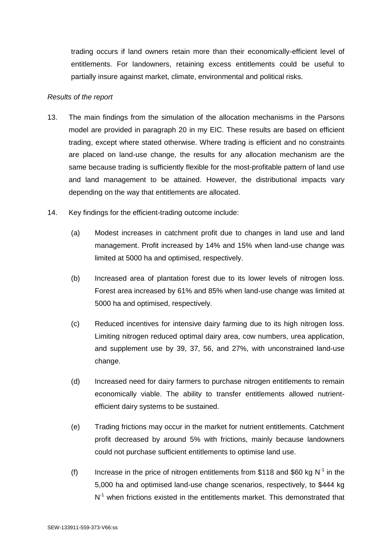trading occurs if land owners retain more than their economically-efficient level of entitlements. For landowners, retaining excess entitlements could be useful to partially insure against market, climate, environmental and political risks.

### *Results of the report*

- 13. The main findings from the simulation of the allocation mechanisms in the Parsons model are provided in paragraph 20 in my EIC. These results are based on efficient trading, except where stated otherwise. Where trading is efficient and no constraints are placed on land-use change, the results for any allocation mechanism are the same because trading is sufficiently flexible for the most-profitable pattern of land use and land management to be attained. However, the distributional impacts vary depending on the way that entitlements are allocated.
- 14. Key findings for the efficient-trading outcome include:
	- (a) Modest increases in catchment profit due to changes in land use and land management. Profit increased by 14% and 15% when land-use change was limited at 5000 ha and optimised, respectively.
	- (b) Increased area of plantation forest due to its lower levels of nitrogen loss. Forest area increased by 61% and 85% when land-use change was limited at 5000 ha and optimised, respectively.
	- (c) Reduced incentives for intensive dairy farming due to its high nitrogen loss. Limiting nitrogen reduced optimal dairy area, cow numbers, urea application, and supplement use by 39, 37, 56, and 27%, with unconstrained land-use change.
	- (d) Increased need for dairy farmers to purchase nitrogen entitlements to remain economically viable. The ability to transfer entitlements allowed nutrientefficient dairy systems to be sustained.
	- (e) Trading frictions may occur in the market for nutrient entitlements. Catchment profit decreased by around 5% with frictions, mainly because landowners could not purchase sufficient entitlements to optimise land use.
	- (f) Increase in the price of nitrogen entitlements from \$118 and \$60 kg  $N^{-1}$  in the 5,000 ha and optimised land-use change scenarios, respectively, to \$444 kg N<sup>-1</sup> when frictions existed in the entitlements market. This demonstrated that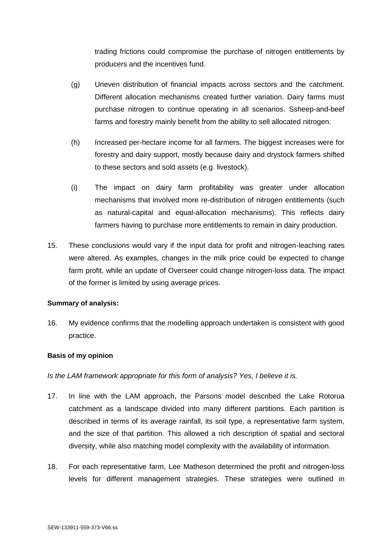trading frictions could compromise the purchase of nitrogen entitlements by producers and the incentives fund.

- (g) Uneven distribution of financial impacts across sectors and the catchment. Different allocation mechanisms created further variation. Dairy farms must purchase nitrogen to continue operating in all scenarios. Ssheep-and-beef farms and forestry mainly benefit from the ability to sell allocated nitrogen.
- (h) Increased per-hectare income for all farmers. The biggest increases were for forestry and dairy support, mostly because dairy and drystock farmers shifted to these sectors and sold assets (e.g. livestock).
- (i) The impact on dairy farm profitability was greater under allocation mechanisms that involved more re-distribution of nitrogen entitlements (such as natural-capital and equal-allocation mechanisms). This reflects dairy farmers having to purchase more entitlements to remain in dairy production.
- 15. These conclusions would vary if the input data for profit and nitrogen-leaching rates were altered. As examples, changes in the milk price could be expected to change farm profit, while an update of Overseer could change nitrogen-loss data. The impact of the former is limited by using average prices.

#### **Summary of analysis:**

16. My evidence confirms that the modelling approach undertaken is consistent with good practice.

# **Basis of my opinion**

# *Is the LAM framework appropriate for this form of analysis? Yes, I believe it is.*

- 17. In line with the LAM approach, the Parsons model described the Lake Rotorua catchment as a landscape divided into many different partitions. Each partition is described in terms of its average rainfall, its soil type, a representative farm system, and the size of that partition. This allowed a rich description of spatial and sectoral diversity, while also matching model complexity with the availability of information.
- 18. For each representative farm, Lee Matheson determined the profit and nitrogen-loss levels for different management strategies. These strategies were outlined in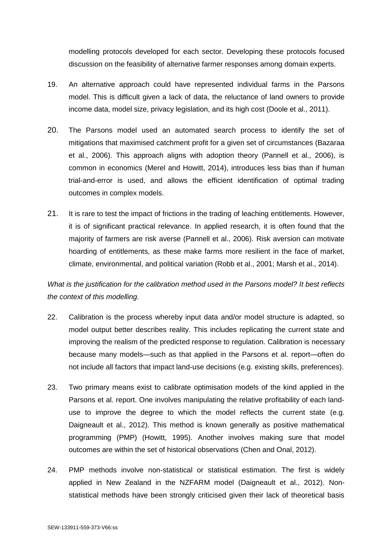modelling protocols developed for each sector. Developing these protocols focused discussion on the feasibility of alternative farmer responses among domain experts.

- 19. An alternative approach could have represented individual farms in the Parsons model. This is difficult given a lack of data, the reluctance of land owners to provide income data, model size, privacy legislation, and its high cost (Doole et al., 2011).
- 20. The Parsons model used an automated search process to identify the set of mitigations that maximised catchment profit for a given set of circumstances (Bazaraa et al., 2006). This approach aligns with adoption theory (Pannell et al., 2006), is common in economics (Merel and Howitt, 2014), introduces less bias than if human trial-and-error is used, and allows the efficient identification of optimal trading outcomes in complex models.
- 21. It is rare to test the impact of frictions in the trading of leaching entitlements. However, it is of significant practical relevance. In applied research, it is often found that the majority of farmers are risk averse (Pannell et al., 2006). Risk aversion can motivate hoarding of entitlements, as these make farms more resilient in the face of market, climate, environmental, and political variation (Robb et al., 2001; Marsh et al., 2014).

*What is the justification for the calibration method used in the Parsons model? It best reflects the context of this modelling.* 

- 22. Calibration is the process whereby input data and/or model structure is adapted, so model output better describes reality. This includes replicating the current state and improving the realism of the predicted response to regulation. Calibration is necessary because many models—such as that applied in the Parsons et al. report—often do not include all factors that impact land-use decisions (e.g. existing skills, preferences).
- 23. Two primary means exist to calibrate optimisation models of the kind applied in the Parsons et al. report. One involves manipulating the relative profitability of each landuse to improve the degree to which the model reflects the current state (e.g. Daigneault et al., 2012). This method is known generally as positive mathematical programming (PMP) (Howitt, 1995). Another involves making sure that model outcomes are within the set of historical observations (Chen and Onal, 2012).
- 24. PMP methods involve non-statistical or statistical estimation. The first is widely applied in New Zealand in the NZFARM model (Daigneault et al., 2012). Nonstatistical methods have been strongly criticised given their lack of theoretical basis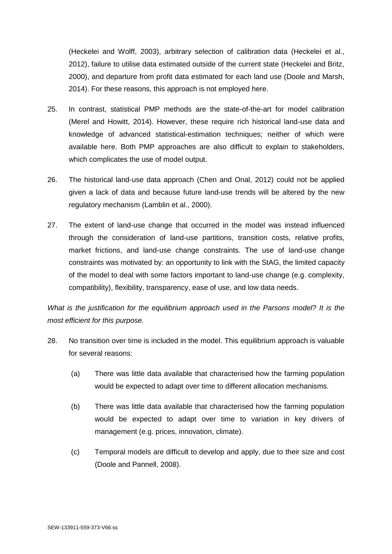(Heckelei and Wolff, 2003), arbitrary selection of calibration data (Heckelei et al., 2012), failure to utilise data estimated outside of the current state (Heckelei and Britz, 2000), and departure from profit data estimated for each land use (Doole and Marsh, 2014). For these reasons, this approach is not employed here.

- 25. In contrast, statistical PMP methods are the state-of-the-art for model calibration (Merel and Howitt, 2014). However, these require rich historical land-use data and knowledge of advanced statistical-estimation techniques; neither of which were available here. Both PMP approaches are also difficult to explain to stakeholders, which complicates the use of model output.
- 26. The historical land-use data approach (Chen and Onal, 2012) could not be applied given a lack of data and because future land-use trends will be altered by the new regulatory mechanism (Lamblin et al., 2000).
- 27. The extent of land-use change that occurred in the model was instead influenced through the consideration of land-use partitions, transition costs, relative profits, market frictions, and land-use change constraints. The use of land-use change constraints was motivated by: an opportunity to link with the StAG, the limited capacity of the model to deal with some factors important to land-use change (e.g. complexity, compatibility), flexibility, transparency, ease of use, and low data needs.

*What is the justification for the equilibrium approach used in the Parsons model? It is the most efficient for this purpose.* 

- 28. No transition over time is included in the model. This equilibrium approach is valuable for several reasons:
	- (a) There was little data available that characterised how the farming population would be expected to adapt over time to different allocation mechanisms.
	- (b) There was little data available that characterised how the farming population would be expected to adapt over time to variation in key drivers of management (e.g. prices, innovation, climate).
	- (c) Temporal models are difficult to develop and apply, due to their size and cost (Doole and Pannell, 2008).